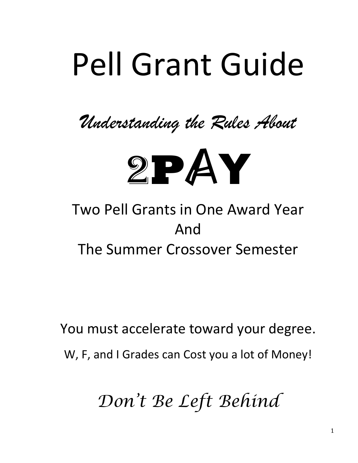# Pell Grant Guide

*Understanding the Rules About*



# Two Pell Grants in One Award Year And The Summer Crossover Semester

You must accelerate toward your degree.

W, F, and I Grades can Cost you a lot of Money!

*Don't Be Left Behind*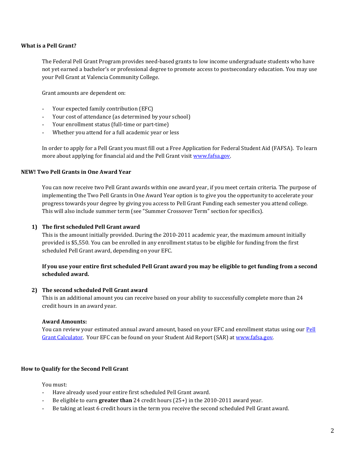#### **What is a Pell Grant?**

The Federal Pell Grant Program provides need-based grants to low income undergraduate students who have not yet earned a bachelor's or professional degree to promote access to postsecondary education. You may use your Pell Grant at Valencia Community College.

Grant amounts are dependent on:

- Your expected family contribution (EFC)
- Your cost of attendance (as determined by your school)
- Your enrollment status (full-time or part-time)
- Whether you attend for a full academic year or less

In order to apply for a Pell Grant you must fill out a Free Application for Federal Student Aid (FAFSA). To learn more about applying for financial aid and the Pell Grant visit [www.fafsa.gov.](http://www.fafsa.gov/) 

#### **NEW! Two Pell Grants in One Award Year**

You can now receive two Pell Grant awards within one award year, if you meet certain criteria. The purpose of implementing the Two Pell Grants in One Award Year option is to give you the opportunity to accelerate your progress towards your degree by giving you access to Pell Grant Funding each semester you attend college. This will also include summer term (see "Summer Crossover Term" section for specifics).

#### **1) The first scheduled Pell Grant award**

This is the amount initially provided. During the 2010-2011 academic year, the maximum amount initially provided is \$5,550. You can be enrolled in any enrollment status to be eligible for funding from the first scheduled Pell Grant award, depending on your EFC.

#### **If you use your entire first scheduled Pell Grant award you may be eligible to get funding from a second scheduled award.**

#### **2) The second scheduled Pell Grant award**

This is an additional amount you can receive based on your ability to successfully complete more than 24 credit hours in an award year.

#### **Award Amounts:**

You can review your estimated annual award amount, based on your EFC and enrollment status using our Pell [Grant Calculator.](http://www.valenciacc.edu/fa) Your EFC can be found on your Student Aid Report (SAR) at www.fafsa.gov.

#### **How to Qualify for the Second Pell Grant**

You must:

- Have already used your entire first scheduled Pell Grant award.
- Be eligible to earn **greater than** 24 credit hours (25+) in the 2010-2011 award year.
- Be taking at least 6 credit hours in the term you receive the second scheduled Pell Grant award.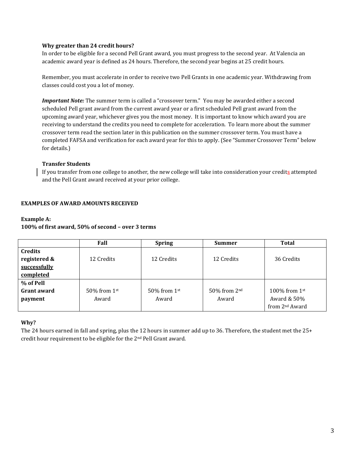#### **Why greater than 24 credit hours?**

In order to be eligible for a second Pell Grant award, you must progress to the second year. At Valencia an academic award year is defined as 24 hours. Therefore, the second year begins at 25 credit hours.

Remember, you must accelerate in order to receive two Pell Grants in one academic year. Withdrawing from classes could cost you a lot of money.

*Important Note:* The summer term is called a "crossover term." You may be awarded either a second scheduled Pell grant award from the current award year or a first scheduled Pell grant award from the upcoming award year, whichever gives you the most money. It is important to know which award you are receiving to understand the credits you need to complete for acceleration. To learn more about the summer crossover term read the section later in this publication on the summer crossover term. You must have a completed FAFSA and verification for each award year for this to apply. (See "Summer Crossover Term" below for details.)

#### **Transfer Students**

If you transfer from one college to another, the new college will take into consideration your credits attempted and the Pell Grant award received at your prior college.

#### **EXAMPLES OF AWARD AMOUNTS RECEIVED**

#### **Example A:**

# **100% of first award, 50% of second – over 3 terms**

|                    | Fall           | <b>Spring</b>     | <b>Summer</b>            | Total                      |
|--------------------|----------------|-------------------|--------------------------|----------------------------|
| <b>Credits</b>     |                |                   |                          |                            |
| registered &       | 12 Credits     | 12 Credits        | 12 Credits               | 36 Credits                 |
| successfully       |                |                   |                          |                            |
| completed          |                |                   |                          |                            |
| % of Pell          |                |                   |                          |                            |
| <b>Grant award</b> | 50% from $1st$ | $50\%$ from $1st$ | 50% from 2 <sup>nd</sup> | 100% from $1st$            |
| payment            | Award          | Award             | Award                    | Award & 50%                |
|                    |                |                   |                          | from 2 <sup>nd</sup> Award |

#### **Why?**

The 24 hours earned in fall and spring, plus the 12 hours in summer add up to 36. Therefore, the student met the 25+ credit hour requirement to be eligible for the 2nd Pell Grant award.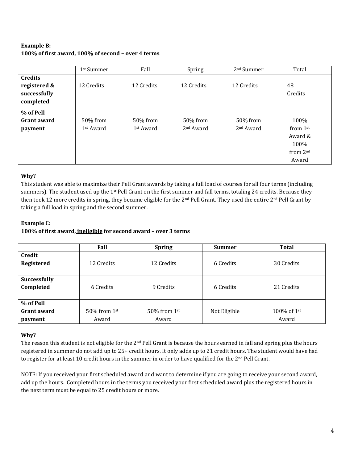# **Example B: 100% of first award, 100% of second – over 4 terms**

|                    | 1st Summer            | Fall                  | Spring                | 2 <sup>nd</sup> Summer | Total                |
|--------------------|-----------------------|-----------------------|-----------------------|------------------------|----------------------|
| <b>Credits</b>     |                       |                       |                       |                        |                      |
| registered &       | 12 Credits            | 12 Credits            | 12 Credits            | 12 Credits             | 48                   |
| successfully       |                       |                       |                       |                        | Credits              |
| completed          |                       |                       |                       |                        |                      |
| % of Pell          |                       |                       |                       |                        |                      |
| <b>Grant award</b> | 50% from              | 50% from              | 50% from              | 50% from               | 100%                 |
| payment            | 1 <sup>st</sup> Award | 1 <sup>st</sup> Award | 2 <sup>nd</sup> Award | 2 <sup>nd</sup> Award  | from $1st$           |
|                    |                       |                       |                       |                        | Award &              |
|                    |                       |                       |                       |                        | 100%                 |
|                    |                       |                       |                       |                        | from 2 <sup>nd</sup> |
|                    |                       |                       |                       |                        | Award                |

# **Why?**

This student was able to maximize their Pell Grant awards by taking a full load of courses for all four terms (including summers). The student used up the 1<sup>st</sup> Pell Grant on the first summer and fall terms, totaling 24 credits. Because they then took 12 more credits in spring, they became eligible for the 2<sup>nd</sup> Pell Grant. They used the entire 2<sup>nd</sup> Pell Grant by taking a full load in spring and the second summer.

# **Example C:**

# **100% of first award, ineligible for second award – over 3 terms**

|                     | Fall              | <b>Spring</b>     | <b>Summer</b> | <b>Total</b> |
|---------------------|-------------------|-------------------|---------------|--------------|
| Credit              |                   |                   |               |              |
| <b>Registered</b>   | 12 Credits        | 12 Credits        | 6 Credits     | 30 Credits   |
|                     |                   |                   |               |              |
| <b>Successfully</b> |                   |                   |               |              |
| Completed           | 6 Credits         | 9 Credits         | 6 Credits     | 21 Credits   |
|                     |                   |                   |               |              |
| % of Pell           |                   |                   |               |              |
| <b>Grant award</b>  | $50\%$ from $1st$ | $50\%$ from $1st$ | Not Eligible  | 100% of 1st  |
| payment             | Award             | Award             |               | Award        |

# **Why?**

The reason this student is not eligible for the 2<sup>nd</sup> Pell Grant is because the hours earned in fall and spring plus the hours registered in summer do not add up to 25+ credit hours. It only adds up to 21 credit hours. The student would have had to register for at least 10 credit hours in the summer in order to have qualified for the  $2<sup>nd</sup>$  Pell Grant.

NOTE: If you received your first scheduled award and want to determine if you are going to receive your second award, add up the hours. Completed hours in the terms you received your first scheduled award plus the registered hours in the next term must be equal to 25 credit hours or more.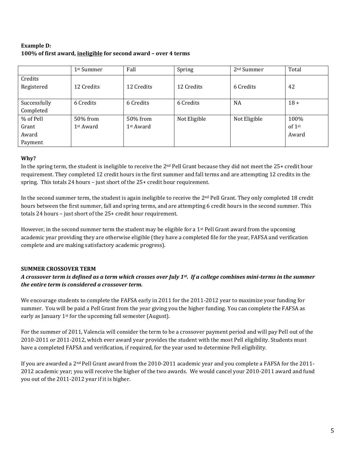# **Example D: 100% of first award, ineligible for second award – over 4 terms**

|                       | 1 <sup>st</sup> Summer | Fall                  | Spring       | 2 <sup>nd</sup> Summer | Total    |
|-----------------------|------------------------|-----------------------|--------------|------------------------|----------|
| Credits<br>Registered | 12 Credits             | 12 Credits            | 12 Credits   | 6 Credits              | 42       |
|                       |                        |                       |              |                        |          |
| Successfully          | 6 Credits              | 6 Credits             | 6 Credits    | <b>NA</b>              | $18 +$   |
| Completed             |                        |                       |              |                        |          |
| % of Pell             | 50% from               | 50% from              | Not Eligible | Not Eligible           | 100%     |
| Grant                 | 1 <sup>st</sup> Award  | 1 <sup>st</sup> Award |              |                        | of $1st$ |
| Award                 |                        |                       |              |                        | Award    |
| Payment               |                        |                       |              |                        |          |

### **Why?**

In the spring term, the student is ineligible to receive the 2<sup>nd</sup> Pell Grant because they did not meet the 25+ credit hour requirement. They completed 12 credit hours in the first summer and fall terms and are attempting 12 credits in the spring. This totals 24 hours – just short of the 25+ credit hour requirement.

In the second summer term, the student is again ineligible to receive the 2<sup>nd</sup> Pell Grant. They only completed 18 credit hours between the first summer, fall and spring terms, and are attempting 6 credit hours in the second summer. This totals 24 hours – just short of the 25+ credit hour requirement.

However, in the second summer term the student may be eligible for a  $1<sup>st</sup>$  Pell Grant award from the upcoming academic year providing they are otherwise eligible (they have a completed file for the year, FAFSA and verification complete and are making satisfactory academic progress).

# **SUMMER CROSSOVER TERM**

# *A crossover term is defined as a term which crosses over July 1st. If a college combines mini-terms in the summer the entire term is considered a crossover term.*

We encourage students to complete the FAFSA early in 2011 for the 2011-2012 year to maximize your funding for summer. You will be paid a Pell Grant from the year giving you the higher funding. You can complete the FAFSA as early as January 1<sup>st</sup> for the upcoming fall semester (August).

For the summer of 2011, Valencia will consider the term to be a crossover payment period and will pay Pell out of the 2010-2011 or 2011-2012, which ever award year provides the student with the most Pell eligibility. Students must have a completed FAFSA and verification, if required, for the year used to determine Pell eligibility.

If you are awarded a 2nd Pell Grant award from the 2010-2011 academic year and you complete a FAFSA for the 2011- 2012 academic year; you will receive the higher of the two awards. We would cancel your 2010-2011 award and fund you out of the 2011-2012 year if it is higher.